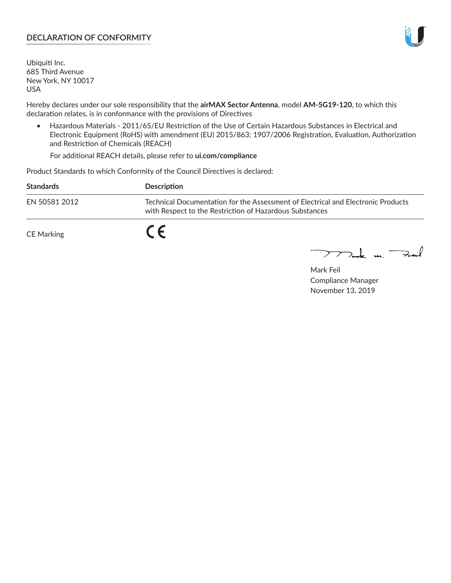## **DECLARATION OF CONFORMITY**

Ubiquiti Inc. 685 Third Avenue New York, NY 10017 USA

Hereby declares under our sole responsibility that the **airMAX Sector Antenna**, model **AM-5G19-120**, to which this declaration relates, is in conformance with the provisions of Directives

• Hazardous Materials - 2011/65/EU Restriction of the Use of Certain Hazardous Substances in Electrical and Electronic Equipment (RoHS) with amendment (EU) 2015/863; 1907/2006 Registration, Evaluation, Authorization and Restriction of Chemicals (REACH)

For additional REACH details, please refer to **ui.com/compliance**

Product Standards to which Conformity of the Council Directives is declared:

| <b>Standards</b> | <b>Description</b>                                                                                                                          |
|------------------|---------------------------------------------------------------------------------------------------------------------------------------------|
| EN 50581 2012    | Technical Documentation for the Assessment of Electrical and Electronic Products<br>with Respect to the Restriction of Hazardous Substances |
| CE Marking       |                                                                                                                                             |

 $\sum_{n=1}^{\infty}$  un  $\sum_{n=1}^{\infty}$ 

Mark Feil Compliance Manager November 13, 2019

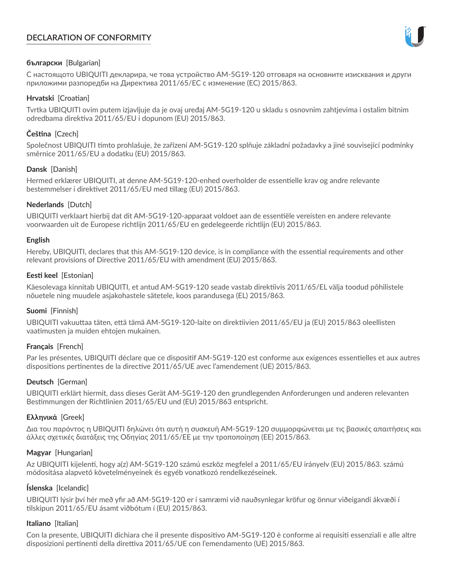# **DECLARATION OF CONFORMITY**



## **български** [Bulgarian]

С настоящото UBIQUITI декларира, че това устройство AM-5G19-120 отговаря на основните изисквания и други приложими разпоредби на Директива 2011/65/ЕС с изменение (ЕС) 2015/863.

## **Hrvatski** [Croatian]

Tvrtka UBIQUITI ovim putem izjavljuje da je ovaj uređaj AM-5G19-120 u skladu s osnovnim zahtjevima i ostalim bitnim odredbama direktiva 2011/65/EU i dopunom (EU) 2015/863.

# **Čeština** [Czech]

Společnost UBIQUITI tímto prohlašuje, že zařízení AM-5G19-120 splňuje základní požadavky a jiné související podmínky směrnice 2011/65/EU a dodatku (EU) 2015/863.

### **Dansk** [Danish]

Hermed erklærer UBIQUITI, at denne AM-5G19-120-enhed overholder de essentielle krav og andre relevante bestemmelser i direktivet 2011/65/EU med tillæg (EU) 2015/863.

### **Nederlands** [Dutch]

UBIQUITI verklaart hierbij dat dit AM-5G19-120-apparaat voldoet aan de essentiële vereisten en andere relevante voorwaarden uit de Europese richtlijn 2011/65/EU en gedelegeerde richtlijn (EU) 2015/863.

#### **English**

Hereby, UBIQUITI, declares that this AM-5G19-120 device, is in compliance with the essential requirements and other relevant provisions of Directive 2011/65/EU with amendment (EU) 2015/863.

### **Eesti keel** [Estonian]

Käesolevaga kinnitab UBIQUITI, et antud AM-5G19-120 seade vastab direktiivis 2011/65/EL välja toodud põhilistele nõuetele ning muudele asjakohastele sätetele, koos parandusega (EL) 2015/863.

#### **Suomi** [Finnish]

UBIQUITI vakuuttaa täten, että tämä AM-5G19-120-laite on direktiivien 2011/65/EU ja (EU) 2015/863 oleellisten vaatimusten ja muiden ehtojen mukainen.

#### **Français** [French]

Par les présentes, UBIQUITI déclare que ce dispositif AM-5G19-120 est conforme aux exigences essentielles et aux autres dispositions pertinentes de la directive 2011/65/UE avec l'amendement (UE) 2015/863.

## **Deutsch** [German]

UBIQUITI erklärt hiermit, dass dieses Gerät AM-5G19-120 den grundlegenden Anforderungen und anderen relevanten Bestimmungen der Richtlinien 2011/65/EU und (EU) 2015/863 entspricht.

#### **Ελληνικά** [Greek]

Δια του παρόντος η UBIQUITI δηλώνει ότι αυτή η συσκευή AM-5G19-120 συμμορφώνεται με τις βασικές απαιτήσεις και άλλες σχετικές διατάξεις της Οδηγίας 2011/65/ΕΕ με την τροποποίηση (ΕΕ) 2015/863.

#### **Magyar** [Hungarian]

Az UBIQUITI kijelenti, hogy a(z) AM-5G19-120 számú eszköz megfelel a 2011/65/EU irányelv (EU) 2015/863. számú módosítása alapvető követelményeinek és egyéb vonatkozó rendelkezéseinek.

#### **Íslenska** [Icelandic]

UBIQUITI lýsir því hér með yfir að AM-5G19-120 er í samræmi við nauðsynlegar kröfur og önnur viðeigandi ákvæði í tilskipun 2011/65/EU ásamt viðbótum í (EU) 2015/863.

#### **Italiano** [Italian]

Con la presente, UBIQUITI dichiara che il presente dispositivo AM-5G19-120 è conforme ai requisiti essenziali e alle altre disposizioni pertinenti della direttiva 2011/65/UE con l'emendamento (UE) 2015/863.